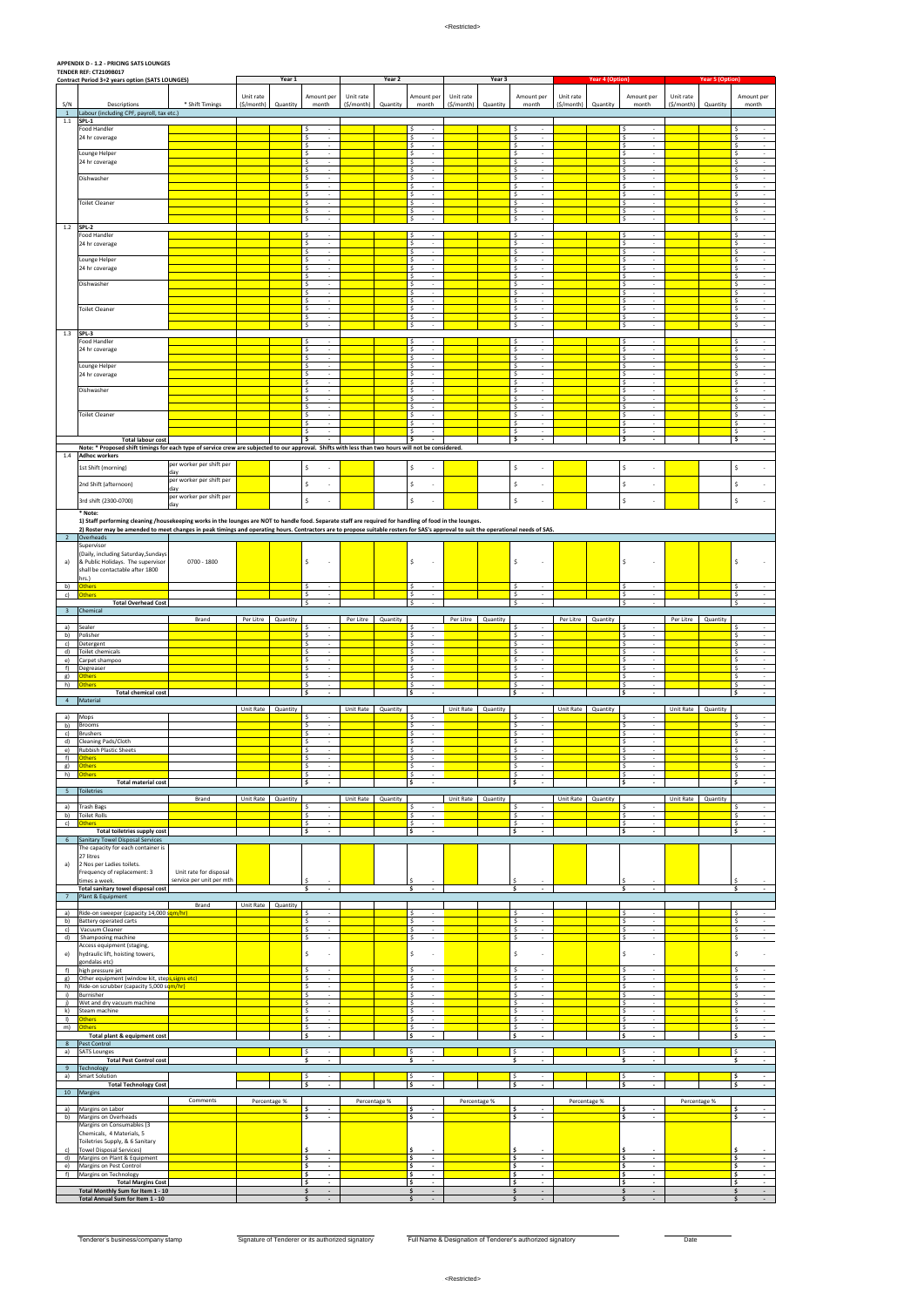## **APPENDIX D - 1.2 - PRICING SATS LOUNGES**

|                     | <b>TENDER REF: CT2109B017</b><br>Contract Period 3+2 years option (SATS LOUNGES)                                                                                                                                                                                                                                                               |                                                    | Year 1     |              | Year 2                                                                            |            | Year 3       |                                                | <b>Year 4 (Option)</b> |              | <b>Year 5 (Option)</b>                                           |            |              |                                                                  |              |          |                                                                        |
|---------------------|------------------------------------------------------------------------------------------------------------------------------------------------------------------------------------------------------------------------------------------------------------------------------------------------------------------------------------------------|----------------------------------------------------|------------|--------------|-----------------------------------------------------------------------------------|------------|--------------|------------------------------------------------|------------------------|--------------|------------------------------------------------------------------|------------|--------------|------------------------------------------------------------------|--------------|----------|------------------------------------------------------------------------|
|                     |                                                                                                                                                                                                                                                                                                                                                |                                                    | Unit rate  |              | Amount per                                                                        | Unit rate  |              | Amount per                                     | Unit rate              |              | Amount per                                                       | Unit rate  |              | Amount per                                                       | Unit rate    |          | Amount per                                                             |
| S/N<br>$\mathbf{1}$ | Descriptions<br>Labour (including CPF, payroll, tax etc.)                                                                                                                                                                                                                                                                                      | * Shift Timings                                    | (\$/month) | Quantity     | month                                                                             | (\$/month) | Quantity     | month                                          | (\$/month)             | Quantity     | month                                                            | (\$/month) | Quantity     | month                                                            | (\$/month)   | Quantity | month                                                                  |
| $1.1\,$             | SPL-1<br>Food Handler                                                                                                                                                                                                                                                                                                                          |                                                    |            |              | \$                                                                                |            |              | \$                                             |                        |              | \$                                                               |            |              | Ŝ.<br>$\overline{\phantom{a}}$                                   |              |          | \$<br>$\sim$                                                           |
|                     | 24 hr coverage                                                                                                                                                                                                                                                                                                                                 |                                                    |            |              | \$<br>$\overline{\phantom{a}}$<br>$\ddot{\mathsf{S}}$<br>$\overline{\phantom{a}}$ |            |              | \$<br>$\sim$<br>\$<br>$\sim$                   |                        |              | \$<br>$\overline{\phantom{a}}$<br>\$<br>$\overline{\phantom{a}}$ |            |              | \$<br>$\sim$<br>\$<br>$\overline{\phantom{a}}$                   |              |          | \$<br>$\sim$<br>\$<br>$\sim$                                           |
|                     | Lounge Helper                                                                                                                                                                                                                                                                                                                                  |                                                    |            |              | \$<br>$\overline{\phantom{a}}$                                                    |            |              | \$<br>$\sim$                                   |                        |              | \$<br>$\overline{\phantom{a}}$                                   |            |              | \$<br>$\sim$                                                     |              |          | \$<br>$\sim 100$                                                       |
|                     | 24 hr coverage                                                                                                                                                                                                                                                                                                                                 |                                                    |            |              | \$<br>$\sim$<br>\$<br>$\overline{\phantom{a}}$                                    |            |              | \$<br>÷<br>\$<br>$\sim$                        |                        |              | \$<br>÷<br>\$<br>$\overline{\phantom{a}}$                        |            |              | \$<br>$\overline{\phantom{a}}$<br>\$<br>$\overline{\phantom{a}}$ |              |          | \$<br>$\sim$<br>\$<br>$\sim$                                           |
|                     | Dishwasher                                                                                                                                                                                                                                                                                                                                     |                                                    |            |              | \$<br>×.<br>\$<br>$\overline{\phantom{a}}$                                        |            |              | \$<br>$\sim$<br>\$<br>$\sim$                   |                        |              | \$<br>$\sim$<br>\$<br>$\sim$                                     |            |              | \$<br>$\overline{\phantom{a}}$<br>\$<br>$\sim$                   |              |          | \$<br>$\sim$<br>\$<br>$\sim 100$                                       |
|                     | <b>Toilet Cleaner</b>                                                                                                                                                                                                                                                                                                                          |                                                    |            |              | \$<br>$\overline{\phantom{a}}$<br>\$<br>$\overline{\phantom{a}}$                  |            |              | \$<br>$\sim$<br>\$<br>$\overline{\phantom{a}}$ |                        |              | \$<br>$\sim$<br>\$<br>$\overline{\phantom{a}}$                   |            |              | \$<br>$\sim$<br>\$<br>$\sim$                                     |              |          | \$<br>$\sim$<br>\$<br>$\sim$                                           |
|                     |                                                                                                                                                                                                                                                                                                                                                |                                                    |            |              | \$<br>$\sim$                                                                      |            |              | \$<br>$\sim$                                   |                        |              | \$<br>$\sim$                                                     |            |              | \$<br>$\sim$                                                     |              |          | \$<br>$\sim$                                                           |
| 1.2                 | SPL-2                                                                                                                                                                                                                                                                                                                                          |                                                    |            |              | \$<br>$\sim$                                                                      |            |              | \$<br>$\sim$                                   |                        |              | \$<br>$\sim$                                                     |            |              | \$<br>$\sim$                                                     |              |          | \$<br>$\sim$                                                           |
|                     | Food Handler<br>24 hr coverage                                                                                                                                                                                                                                                                                                                 |                                                    |            |              | \$<br>$\sim$<br>\$<br>$\overline{\phantom{a}}$                                    |            |              | \$<br>$\sim$<br>\$<br>$\sim$                   |                        |              | \$<br>$\sim$<br>\$<br>$\sim$                                     |            |              | \$<br>$\sim$<br>\$<br>$\sim$                                     |              |          | \$<br>$\sim$<br>Ŝ.<br>$\sim$                                           |
|                     | Lounge Helper                                                                                                                                                                                                                                                                                                                                  |                                                    |            |              | $\overline{\mathcal{S}}$<br>$\sim$<br>S.<br>$\sim$                                |            |              | \$<br>$\sim$<br>\$<br>$\sim$                   |                        |              | \$<br>$\sim$<br>\$<br>$\sim$                                     |            |              | \$<br>$\sim$<br>\$<br>$\sim$                                     |              |          | \$<br>$\sigma_{\rm{eff}}$<br>\$<br>$\sim$                              |
|                     | 24 hr coverage                                                                                                                                                                                                                                                                                                                                 |                                                    |            |              | \$<br>$\sim$<br>$\overline{\phantom{a}}$                                          |            |              | \$<br>$\sim$<br>\$<br>$\sim$                   |                        |              | \$<br>$\sim$<br>\$<br>$\sim$                                     |            |              | \$<br>$\sim$<br>Ŝ.<br>$\sim$                                     |              |          | \$<br>$\sim$<br>\$<br>$\sim$                                           |
|                     | Dishwasher                                                                                                                                                                                                                                                                                                                                     |                                                    |            |              | \$<br>\$<br>$\overline{\phantom{a}}$                                              |            |              | \$<br>$\sim$                                   |                        |              | \$<br>$\sim$                                                     |            |              | \$<br>$\sim$                                                     |              |          | \$<br>$\sim$                                                           |
|                     |                                                                                                                                                                                                                                                                                                                                                |                                                    |            |              | S.<br>$\sim$<br>\$<br>$\overline{\phantom{a}}$                                    |            |              | S.<br>$\sim$<br>\$<br>$\overline{\phantom{a}}$ |                        |              | \$<br>$\sim$<br>\$<br>$\overline{\phantom{a}}$                   |            |              | \$<br>$\sim$<br>\$<br>$\sim$                                     |              |          | \$<br>$\sim 10^{-1}$<br>\$<br>$\sim$                                   |
|                     | <b>Toilet Cleaner</b>                                                                                                                                                                                                                                                                                                                          |                                                    |            |              | \$<br>$\sim$<br>\$<br>$\overline{\phantom{a}}$                                    |            |              | \$<br>$\sim$<br>\$<br>$\overline{\phantom{a}}$ |                        |              | \$<br>$\sim$<br>\$<br>$\overline{\phantom{a}}$                   |            |              | \$<br>$\sim$<br>\$<br>$\sim$                                     |              |          | \$<br>$\sim$<br>\$<br>$\sim$                                           |
| 1.3                 | SPL-3                                                                                                                                                                                                                                                                                                                                          |                                                    |            |              | \$<br>$\epsilon$                                                                  |            |              | \$<br>$\sim$                                   |                        |              | \$<br>$\sim$                                                     |            |              | \$<br>$\sim$                                                     |              |          | \$<br>$\sim$ $-$                                                       |
|                     | Food Handler                                                                                                                                                                                                                                                                                                                                   |                                                    |            |              | \$<br>$\overline{\phantom{a}}$                                                    |            |              | \$<br>$\overline{\phantom{a}}$                 |                        |              | \$                                                               |            |              | Ŝ<br>$\overline{\phantom{a}}$                                    |              |          | \$<br>$\sim$                                                           |
|                     | 24 hr coverage                                                                                                                                                                                                                                                                                                                                 |                                                    |            |              | \$<br>$\overline{\phantom{a}}$<br>\$<br>$\sim$                                    |            |              | \$<br>$\overline{\phantom{a}}$<br>\$<br>$\sim$ |                        |              | \$<br>$\overline{\phantom{a}}$<br>\$<br>$\sim$                   |            |              | \$<br>$\overline{\phantom{a}}$<br>\$<br>$\sim$                   |              |          | \$<br>$\sim$<br>\$<br>$\sim$                                           |
|                     | Lounge Helper<br>24 hr coverage                                                                                                                                                                                                                                                                                                                |                                                    |            |              | \$<br>×.<br>\$<br>$\overline{\phantom{a}}$                                        |            |              | \$<br>$\sim$<br>\$<br>$\sim$                   |                        |              | \$<br>$\sim$<br>\$<br>$\overline{\phantom{a}}$                   |            |              | \$<br>$\sim$<br>\$<br>$\overline{\phantom{a}}$                   |              |          | \$<br>$\sim$<br>\$<br>$\sim$                                           |
|                     | Dishwasher                                                                                                                                                                                                                                                                                                                                     |                                                    |            |              | \$<br>×.<br>\$<br>$\overline{\phantom{a}}$                                        |            |              | \$<br>$\sim$<br>\$<br>$\overline{\phantom{a}}$ |                        |              | \$<br>$\sim$<br>\$<br>$\sim$                                     |            |              | \$<br>$\overline{\phantom{a}}$<br>\$<br>$\sim$                   |              |          | \$<br>$\sim$<br>\$<br>$\sim 100$                                       |
|                     |                                                                                                                                                                                                                                                                                                                                                |                                                    |            |              | \$<br>$\sim$                                                                      |            |              | \$<br>$\sim$                                   |                        |              | \$<br>$\sim$                                                     |            |              | \$<br>$\sim$                                                     |              |          | \$<br>$\sim$                                                           |
|                     | <b>Toilet Cleaner</b>                                                                                                                                                                                                                                                                                                                          |                                                    |            |              | \$<br>$\overline{\phantom{a}}$<br>\$<br>$\sim$                                    |            |              | \$<br>$\overline{\phantom{a}}$<br>\$<br>$\sim$ |                        |              | \$<br>$\overline{\phantom{a}}$<br>\$<br>$\sim$                   |            |              | \$<br>$\overline{\phantom{a}}$<br>\$<br>$\sim$                   |              |          | \$<br>$\sim$<br>Ŝ.<br>$\sim$                                           |
|                     |                                                                                                                                                                                                                                                                                                                                                |                                                    |            |              | \$<br>$\overline{\phantom{a}}$<br>\$<br>$\overline{\phantom{a}}$                  |            |              | \$<br>$\sim$<br>\$<br>$\sim$                   |                        |              | \$<br>$\sim$<br>\$<br>$\sim$                                     |            |              | \$<br>$\sim$<br>\$<br>$\sim$                                     |              |          | \$<br>$\sim$<br>\$<br>$\sim$                                           |
|                     | <b>Total labour cost</b><br>Note: * Proposed shift timings for each type of service crew are subjected to our approval. Shifts with less than two hours will not be considered.                                                                                                                                                                |                                                    |            |              | \$                                                                                |            |              | \$                                             |                        |              | \$<br>$\blacksquare$                                             |            |              | \$<br>$\sim$                                                     |              |          | \$<br>$\sim$                                                           |
| 1.4                 | <b>Adhoc workers</b>                                                                                                                                                                                                                                                                                                                           |                                                    |            |              |                                                                                   |            |              |                                                |                        |              |                                                                  |            |              |                                                                  |              |          |                                                                        |
|                     | 1st Shift (morning)                                                                                                                                                                                                                                                                                                                            | per worker per shift per<br>day                    |            |              | \$                                                                                |            |              | \$                                             |                        |              | \$                                                               |            |              | \$<br>$\overline{\phantom{a}}$                                   |              |          | \$                                                                     |
|                     | 2nd Shift (afternoon)                                                                                                                                                                                                                                                                                                                          | per worker per shift per<br>day                    |            |              | \$<br>$\overline{a}$                                                              |            |              | \$<br>÷                                        |                        |              | \$                                                               |            |              | \$<br>$\sim$                                                     |              |          | \$                                                                     |
|                     | 3rd shift (2300-0700)                                                                                                                                                                                                                                                                                                                          | per worker per shift per<br>day                    |            |              | \$                                                                                |            |              | \$                                             |                        |              | \$                                                               |            |              | \$<br>$\sim$                                                     |              |          | \$                                                                     |
|                     | * Note:                                                                                                                                                                                                                                                                                                                                        |                                                    |            |              |                                                                                   |            |              |                                                |                        |              |                                                                  |            |              |                                                                  |              |          |                                                                        |
|                     | 1) Staff performing cleaning /housekeeping works in the lounges are NOT to handle food. Separate staff are required for handling of food in the lounges.<br>2) Roster may be amended to meet changes in peak timings and operating hours. Contractors are to propose suitable rosters for SAS's approval to suit the operational needs of SAS. |                                                    |            |              |                                                                                   |            |              |                                                |                        |              |                                                                  |            |              |                                                                  |              |          |                                                                        |
| $\overline{2}$      | Overheads<br>Supervisor                                                                                                                                                                                                                                                                                                                        |                                                    |            |              |                                                                                   |            |              |                                                |                        |              |                                                                  |            |              |                                                                  |              |          |                                                                        |
| a)                  | (Daily, including Saturday, Sundays<br>& Public Holidays. The supervisor                                                                                                                                                                                                                                                                       | 0700 - 1800                                        |            |              | \$                                                                                |            |              | \$                                             |                        |              | \$                                                               |            |              | \$                                                               |              |          | Ŝ.                                                                     |
|                     | shall be contactable after 1800                                                                                                                                                                                                                                                                                                                |                                                    |            |              |                                                                                   |            |              |                                                |                        |              |                                                                  |            |              |                                                                  |              |          |                                                                        |
| b)                  | hrs.)<br><b>Others</b>                                                                                                                                                                                                                                                                                                                         |                                                    |            |              | \$<br>$\overline{\phantom{a}}$                                                    |            |              | \$<br>$\sim$                                   |                        |              | \$<br>$\sim$                                                     |            |              | \$<br>$\sim$                                                     |              |          | \$<br>$\sim$                                                           |
| c)                  | <b>Others</b><br><b>Total Overhead Cost</b>                                                                                                                                                                                                                                                                                                    |                                                    |            |              | \$<br>$\overline{\phantom{a}}$<br>Ŝ.<br>$\sim$                                    |            |              | \$<br>$\sim$<br>Ŝ.<br>÷                        |                        |              | \$<br>$\sim$<br>\$<br>÷                                          |            |              | \$<br>$\sim$<br>l \$<br>$\sim$                                   |              |          | \$<br>$\sim$<br>Ŝ.<br>$\sim$                                           |
| $\overline{3}$      | Chemical                                                                                                                                                                                                                                                                                                                                       | Brand                                              | Per Litre  | Quantity     |                                                                                   | Per Litre  | Quantity     |                                                | Per Litre              | Quantity     |                                                                  | Per Litre  | Quantity     |                                                                  | Per Litre    | Quantity |                                                                        |
| a)<br>b)            | Sealer<br>Polisher                                                                                                                                                                                                                                                                                                                             |                                                    |            |              | \$<br>$\sim$<br>$\mathsf{S}$<br>$\sim$                                            |            |              | \$<br>$\sim$<br>$\mathsf{S}$<br>$\sim$         |                        |              | \$<br>$\sim$<br>$\frac{1}{2}$<br>$\sim$                          |            |              | \$<br>$\sim$<br>\$<br>$\sim$                                     |              |          | \$<br>$\sim$<br>\$<br>$\sim$                                           |
| c)                  | Detergent                                                                                                                                                                                                                                                                                                                                      |                                                    |            |              | \$<br>$\sim$                                                                      |            |              | \$<br>$\sim$                                   |                        |              | \$<br>$\sim$                                                     |            |              | \$<br>$\sim$                                                     |              |          | \$<br>$\sim$                                                           |
| d)<br>e)            | Toilet chemicals<br>Carpet shampoo                                                                                                                                                                                                                                                                                                             |                                                    |            |              | \$<br>$\sim$<br>\$<br>$\sim$                                                      |            |              | $\mathsf{S}$<br>$\sim$<br>-\$<br>$\sim$        |                        |              | \$<br>$\sim$<br>\$<br>$\sim$                                     |            |              | \$<br>$\sim$<br>\$<br>$\sim$                                     |              |          | Ŝ.<br>$\sim$<br>\$<br>$\sim$                                           |
| f)<br>g)            | Degreaser<br><b>Others</b>                                                                                                                                                                                                                                                                                                                     |                                                    |            |              | \$<br>$\sim$<br>$\ddot{\mathsf{s}}$<br>$\overline{\phantom{a}}$                   |            |              | S.<br>$\sim$<br>Ŝ.<br>$\sim$                   |                        |              | \$<br>$\sim$<br>\$<br>$\sim$                                     |            |              | \$<br>$\sim$<br>\$<br>$\sim$                                     |              |          | \$<br>$\sim$<br>\$<br>$\sim$                                           |
| h)                  | <b>Others</b><br><b>Total chemical cost</b>                                                                                                                                                                                                                                                                                                    |                                                    |            |              | \$<br>$\sim$<br>\$<br>$\blacksquare$                                              |            |              | S.<br>$\sim$<br>\$<br>$\overline{\phantom{a}}$ |                        |              | S.<br>$\sim$<br>\$<br>$\overline{\phantom{a}}$                   |            |              | S.<br>$\sim$<br>\$<br>$\blacksquare$                             |              |          | \$<br>$\sim$<br>\$<br>$\sim$                                           |
| $\overline{4}$      | Material                                                                                                                                                                                                                                                                                                                                       |                                                    |            |              |                                                                                   |            |              |                                                |                        |              |                                                                  |            |              |                                                                  |              |          |                                                                        |
| a)                  | Mops                                                                                                                                                                                                                                                                                                                                           |                                                    | Unit Rate  | Quantity     | -S                                                                                | Unit Rate  | Quantity     | -S                                             | Unit Rate              | Quantity     | Ş.                                                               | Unit Rate  | Quantity     | S<br>$\overline{\phantom{a}}$                                    | Unit Rate    | Quantity | $\sim$<br>-Ş                                                           |
| b)<br>c)            | <b>Brooms</b><br><b>Brushers</b>                                                                                                                                                                                                                                                                                                               |                                                    |            |              | \$<br>$\overline{\phantom{a}}$<br>\$<br>$\sim$                                    |            |              | \$<br>\$<br>$\sim$                             |                        |              | \$<br>\$<br>$\sim$                                               |            |              | \$<br>$\overline{\phantom{a}}$<br>\$<br>$\sim$                   |              |          | \$<br>$\sim$<br>\$<br>$\sim$                                           |
| d)<br>e)            | Cleaning Pads/Cloth<br>Rubbish Plastic Sheets                                                                                                                                                                                                                                                                                                  |                                                    |            |              | \$<br>$\sim$<br>\$<br>$\overline{\phantom{a}}$                                    |            |              | \$<br>$\sim$<br>\$<br>$\sim$                   |                        |              | \$<br>$\overline{\phantom{a}}$<br>\$<br>$\overline{\phantom{a}}$ |            |              | \$<br>$\overline{\phantom{a}}$<br>\$<br>$\overline{\phantom{a}}$ |              |          | \$<br>$\sim$<br>\$<br>$\sim$                                           |
| f)                  | <b>Others</b>                                                                                                                                                                                                                                                                                                                                  |                                                    |            |              | $\ddot{\mathsf{S}}$<br>٠                                                          |            |              | \$                                             |                        |              | \$                                                               |            |              | \$<br>$\overline{\phantom{a}}$                                   |              |          | \$<br>$\sim$                                                           |
| g)<br>h)            | <b>Others</b><br><b>Others</b>                                                                                                                                                                                                                                                                                                                 |                                                    |            |              | \$<br>$\sim$<br>\$<br>$\overline{\phantom{a}}$                                    |            |              | \$<br>$\sim$<br>\$<br>$\sim$                   |                        |              | \$<br>$\sim$<br>\$<br>$\sim$                                     |            |              | \$<br>$\sim$<br>\$<br>$\overline{\phantom{a}}$                   |              |          | \$<br>$\sim$<br>\$<br>$\sim$                                           |
| 5                   | <b>Total material cost</b><br><b>Toiletries</b>                                                                                                                                                                                                                                                                                                |                                                    |            |              | \$<br>$\overline{\phantom{a}}$                                                    |            |              | \$<br>$\sim$                                   |                        |              | \$<br>$\overline{\phantom{a}}$                                   |            |              | \$<br>$\overline{\phantom{a}}$                                   |              |          | \$<br>$\sim$                                                           |
| a)                  | <b>Trash Bags</b>                                                                                                                                                                                                                                                                                                                              | Brand                                              | Unit Rate  | Quantity     | Ŝ.                                                                                | Unit Rate  | Quantity     | \$                                             | Unit Rate              | Quantity     | Ś                                                                | Unit Rate  | Quantity     | \$<br>$\overline{\phantom{a}}$                                   | Unit Rate    | Quantity | \$<br>$\sim$                                                           |
| b)<br>c)            | <b>Toilet Rolls</b><br><b>Others</b>                                                                                                                                                                                                                                                                                                           |                                                    |            |              | \$<br>$\overline{\phantom{a}}$<br>\$<br>$\overline{\phantom{a}}$                  |            |              | \$<br>$\sim$<br>\$<br>$\sim$                   |                        |              | \$<br>$\overline{\phantom{a}}$<br>\$<br>$\sim$                   |            |              | \$<br>$\sim$<br>\$<br>$\sim$                                     |              |          | \$<br>$\sim$<br>\$<br>$\sim$                                           |
|                     | Total toiletries supply cost                                                                                                                                                                                                                                                                                                                   |                                                    |            |              | \$<br>$\sim$                                                                      |            |              | \$<br>$\sim$                                   |                        |              | \$<br>$\sim$                                                     |            |              | \$<br>$\sim$                                                     |              |          | \$<br>$\sim$                                                           |
| 6                   | Sanitary Towel Disposal Services<br>The capacity for each container is                                                                                                                                                                                                                                                                         |                                                    |            |              |                                                                                   |            |              |                                                |                        |              |                                                                  |            |              |                                                                  |              |          |                                                                        |
| a)                  | 27 litres<br>2 Nos per Ladies toilets.                                                                                                                                                                                                                                                                                                         |                                                    |            |              |                                                                                   |            |              |                                                |                        |              |                                                                  |            |              |                                                                  |              |          |                                                                        |
|                     | Frequency of replacement: 3<br>times a week.                                                                                                                                                                                                                                                                                                   | Unit rate for disposal<br>service per unit per mth |            |              |                                                                                   |            |              |                                                |                        |              | Ś                                                                |            |              |                                                                  |              |          |                                                                        |
|                     | Total sanitary towel disposal cost                                                                                                                                                                                                                                                                                                             |                                                    |            |              | \$<br>$\sim$                                                                      |            |              | \$<br>$\blacksquare$                           |                        |              | \$<br>$\sim$                                                     |            |              | \$<br>$\sim$                                                     |              |          | Ś.<br>$\sim$                                                           |
| $\overline{7}$      | Plant & Equipment                                                                                                                                                                                                                                                                                                                              | Brand                                              | Unit Rate  | Quantity     |                                                                                   |            |              |                                                |                        |              |                                                                  |            |              |                                                                  |              |          |                                                                        |
| a)<br>b)            | Ride-on sweeper (capacity 14,000 sqm/hr)<br>Battery operated carts                                                                                                                                                                                                                                                                             |                                                    |            |              | \$<br>\$<br>$\sim$                                                                |            |              | \$<br>\$<br>$\sim$                             |                        |              | \$<br>\$<br>$\overline{\phantom{a}}$                             |            |              | \$<br>$\sim$<br>\$.<br>$\sim$                                    |              |          | \$<br>$\sim$<br>\$<br>$\sim$                                           |
| c)<br>d)            | Vacuum Cleaner<br>Shampooing machine                                                                                                                                                                                                                                                                                                           |                                                    |            |              | \$<br>$\overline{\phantom{a}}$<br>\$<br>$\sim$                                    |            |              | \$<br>$\sim$<br>\$<br>$\sim$                   |                        |              | \$<br>$\sim$<br>\$<br>$\sim$                                     |            |              | \$<br>$\overline{\phantom{a}}$<br>\$<br>$\sim$                   |              |          | \$<br>$\sim$<br>\$<br>$\sim$                                           |
|                     | Access equipment (staging,                                                                                                                                                                                                                                                                                                                     |                                                    |            |              |                                                                                   |            |              |                                                |                        |              |                                                                  |            |              |                                                                  |              |          |                                                                        |
| e)                  |                                                                                                                                                                                                                                                                                                                                                |                                                    |            |              | \$                                                                                |            |              | \$<br>$\overline{\phantom{a}}$                 |                        |              | \$                                                               |            |              | \$<br>$\overline{\phantom{a}}$                                   |              |          | \$<br>÷.                                                               |
|                     | hydraulic lift, hoisting towers,<br>gondalas etc)                                                                                                                                                                                                                                                                                              |                                                    |            |              |                                                                                   |            |              |                                                |                        |              | \$<br>$\sim$                                                     |            |              | \$<br>$\sim$                                                     |              |          | \$<br>$\sim$<br>\$<br>$\sim$                                           |
| f)<br>g)            | high pressure jet<br>Other equipment (window kit, steps, signs etc)                                                                                                                                                                                                                                                                            |                                                    |            |              | \$<br>$\sim$<br>\$<br>$\overline{\phantom{a}}$                                    |            |              | \$<br>$\sim$<br>\$<br>$\sim$                   |                        |              | \$<br>$\sim$                                                     |            |              | \$<br>$\sim$                                                     |              |          |                                                                        |
| h)                  | Ride-on scrubber (capacity 5,000 sqm/hr)                                                                                                                                                                                                                                                                                                       |                                                    |            |              | \$<br>$\overline{\phantom{a}}$                                                    |            |              | \$<br>$\sim$<br>$\sim$                         |                        |              | \$<br>$\sim$                                                     |            |              | \$<br>$\sim$                                                     |              |          | \$<br>$\sim$                                                           |
| i)                  | Burnisher<br>Wet and dry vacuum machine                                                                                                                                                                                                                                                                                                        |                                                    |            |              | \$<br>$\overline{\phantom{a}}$<br>\$<br>$\sim$                                    |            |              | \$<br>\$<br>$\sim$                             |                        |              | \$<br>\$<br>$\sim$                                               |            |              | \$<br>$\mathcal{L}$<br>\$<br>$\sim$                              |              |          | Ŝ.<br>$\sim$<br>\$<br>$\sim$                                           |
| k)<br>$\mathbf{I}$  | Steam machine<br><b>Others</b>                                                                                                                                                                                                                                                                                                                 |                                                    |            |              | \$<br>$\sim$<br>\$<br>$\sim$                                                      |            |              | $\mathsf{S}$<br>$\sim$<br>\$<br>$\sim$         |                        |              | \$<br>$\sim$<br>\$<br>$\sim$                                     |            |              | \$<br>$\sim$<br>\$<br>$\sim$                                     |              |          | Ŝ.<br>$\sim$ $-$<br>\$<br>$\sim$                                       |
| m)                  | <b>Others</b><br>Total plant & equipment cost                                                                                                                                                                                                                                                                                                  |                                                    |            |              | \$<br>$\sim$<br>\$<br>$\blacksquare$                                              |            |              | \$<br>÷<br>\$<br>$\blacksquare$                |                        |              | \$<br>$\sim$<br>\$<br>$\sim$                                     |            |              | \$<br>$\sim$<br>۱\$<br>$\sim$                                    |              |          | Ŝ.<br>$\sim$<br>\$<br>$\sim$                                           |
| 8                   | Pest Control                                                                                                                                                                                                                                                                                                                                   |                                                    |            |              |                                                                                   |            |              |                                                |                        |              |                                                                  |            |              |                                                                  |              |          |                                                                        |
| a)                  | <b>SATS Lounges</b><br><b>Total Pest Control cost</b>                                                                                                                                                                                                                                                                                          |                                                    |            |              | \$<br>$\sim$<br>\$<br>$\blacksquare$                                              |            |              | \$<br>$\sim$<br>\$                             |                        |              | $\frac{1}{2}$<br>\$<br>$\blacksquare$                            |            |              | 5<br>$\sim$<br>\$<br>$\overline{\phantom{a}}$                    |              |          | \$<br>$\sim$<br>Ŝ.<br>$\sim$                                           |
| 9<br>a)             | Technology<br><b>Smart Solution</b>                                                                                                                                                                                                                                                                                                            |                                                    |            |              | \$<br>$\sim$                                                                      |            |              | $\frac{1}{2}$<br>$\sim$                        |                        |              | \$<br>$\sim$                                                     |            |              | $\frac{1}{2}$<br>$\sim$                                          |              |          | \$                                                                     |
|                     | <b>Total Technology Cost</b>                                                                                                                                                                                                                                                                                                                   |                                                    |            |              | \$<br>$\overline{\phantom{a}}$                                                    |            |              | \$<br>$\blacksquare$                           |                        |              | \$<br>$\overline{\phantom{a}}$                                   |            |              | $\mathsf{S}$<br>$\overline{\phantom{a}}$                         |              |          | \$<br>$\sim$                                                           |
|                     | 10 Margins                                                                                                                                                                                                                                                                                                                                     | Comments                                           |            | Percentage % |                                                                                   |            | Percentage % |                                                |                        | Percentage % |                                                                  |            | Percentage % |                                                                  | Percentage % |          |                                                                        |
| a)<br>b)            | Margins on Labor<br>Margins on Overheads                                                                                                                                                                                                                                                                                                       |                                                    |            |              | \$<br>$\sim$<br>\$<br>$\blacksquare$                                              |            |              | \$<br>$\sim$<br>\$<br>$\blacksquare$           |                        |              | \$<br>$\sim$<br>\$<br>$\blacksquare$                             |            |              | \$<br>$\sim$<br>l \$<br>$\Box$                                   |              |          | \$<br>\$                                                               |
|                     | Margins on Consumables (3<br>Chemicals, 4 Materials, 5                                                                                                                                                                                                                                                                                         |                                                    |            |              |                                                                                   |            |              |                                                |                        |              |                                                                  |            |              |                                                                  |              |          |                                                                        |
|                     | Toiletries Supply, & 6 Sanitary                                                                                                                                                                                                                                                                                                                |                                                    |            |              | \$                                                                                |            |              | $\blacksquare$                                 |                        |              | \$                                                               |            |              | $\overline{\phantom{a}}$                                         |              |          | \$                                                                     |
| c)<br>d)            | <b>Towel Disposal Services)</b><br>Margins on Plant & Equipment                                                                                                                                                                                                                                                                                |                                                    |            |              | \$<br>$\overline{\phantom{a}}$                                                    |            |              | \$<br>\$<br>$\sim$                             |                        |              | \$<br>$\overline{\phantom{a}}$                                   |            |              | \$<br>\$<br>$\sim$                                               |              |          | \$<br>$\sim$                                                           |
| e)<br>f)            | Margins on Pest Control<br>Margins on Technology                                                                                                                                                                                                                                                                                               |                                                    |            |              | \$<br>$\overline{\phantom{a}}$<br>\$<br>$\overline{\phantom{a}}$                  |            |              | \$<br>$\blacksquare$<br>\$<br>$\sim$           |                        |              | \$<br>$\blacksquare$<br>\$<br>$\sim$                             |            |              | ۱\$<br>$\sim$<br>۱\$<br>$\sim$                                   |              |          | $\omega_{\rm{eff}}$<br>\$<br>$\sim$<br>\$                              |
|                     | <b>Total Margins Cost</b><br>Total Monthly Sum for Item 1 - 10                                                                                                                                                                                                                                                                                 |                                                    |            |              | \$<br>$\sim$<br>\$<br>$\sim$                                                      |            |              | \$<br>$\blacksquare$<br>\$<br>$\sim$           |                        |              | \$<br>$\sim$<br>\$<br>$\sim$                                     |            |              | ۱\$<br>$\sim$<br>\$<br>$\sim$                                    |              |          | $\sim$ $-$<br>$\sim$ $-$<br>$\sim 100$<br>\$<br>$\sim$<br>\$<br>$\sim$ |

Tenderer's business/company stamp Signature of Tenderer or its authorized signatory Full Name & Designation of Tenderer's authorized signatory Date